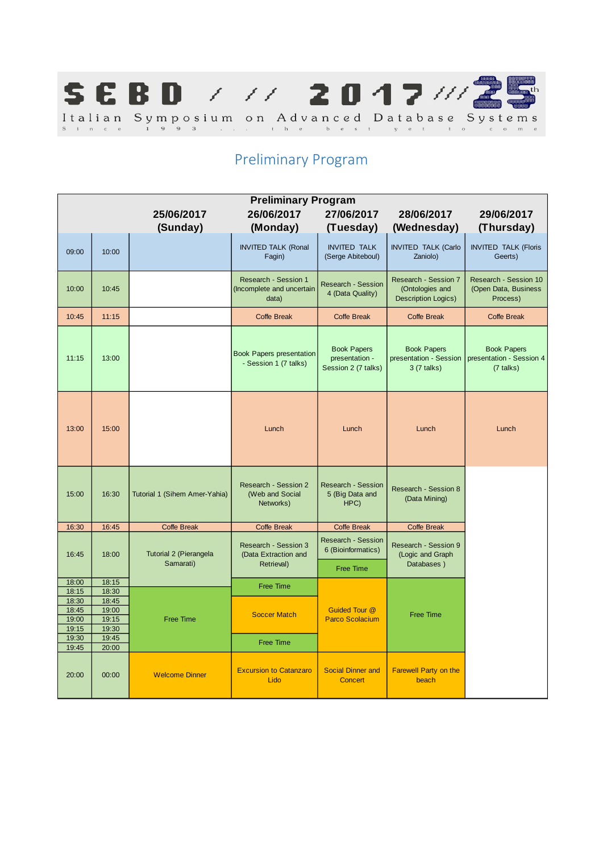

# Preliminary Program

| <b>Preliminary Program</b><br>26/06/2017<br>27/06/2017<br>25/06/2017<br>28/06/2017<br>29/06/2017 |                |                                     |                                                             |                                                                     |                                                                       |                                                             |
|--------------------------------------------------------------------------------------------------|----------------|-------------------------------------|-------------------------------------------------------------|---------------------------------------------------------------------|-----------------------------------------------------------------------|-------------------------------------------------------------|
|                                                                                                  |                | (Sunday)                            | (Monday)                                                    | (Tuesday)                                                           | (Wednesday)                                                           | (Thursday)                                                  |
| 09:00                                                                                            | 10:00          |                                     | <b>INVITED TALK (Ronal</b><br>Fagin)                        | <b>INVITED TALK</b><br>(Serge Abiteboul)                            | <b>INVITED TALK (Carlo</b><br>Zaniolo)                                | <b>INVITED TALK (Floris</b><br>Geerts)                      |
| 10:00                                                                                            | 10:45          |                                     | Research - Session 1<br>(Incomplete and uncertain<br>data)  | <b>Research - Session</b><br>4 (Data Quality)                       | Research - Session 7<br>(Ontologies and<br><b>Description Logics)</b> | Research - Session 10<br>(Open Data, Business<br>Process)   |
| 10:45                                                                                            | 11:15          |                                     | Coffe Break                                                 | <b>Coffe Break</b>                                                  | <b>Coffe Break</b>                                                    | Coffe Break                                                 |
| 11:15                                                                                            | 13:00          |                                     | <b>Book Papers presentation</b><br>- Session 1 (7 talks)    | <b>Book Papers</b><br>presentation -<br>Session 2 (7 talks)         | <b>Book Papers</b><br>presentation - Session<br>3 (7 talks)           | <b>Book Papers</b><br>presentation - Session 4<br>(7 talks) |
| 13:00                                                                                            | 15:00          |                                     | Lunch                                                       | Lunch                                                               | Lunch                                                                 | Lunch                                                       |
| 15:00                                                                                            | 16:30          | Tutorial 1 (Sihem Amer-Yahia)       | <b>Research - Session 2</b><br>(Web and Social<br>Networks) | <b>Research - Session</b><br>5 (Big Data and<br>HPC)                | Research - Session 8<br>(Data Mining)                                 |                                                             |
| 16:30                                                                                            | 16:45          | <b>Coffe Break</b>                  | <b>Coffe Break</b>                                          | <b>Coffe Break</b>                                                  | <b>Coffe Break</b>                                                    |                                                             |
| 16:45                                                                                            | 18:00          | Tutorial 2 (Pierangela<br>Samarati) | Research - Session 3<br>(Data Extraction and<br>Retrieval)  | <b>Research - Session</b><br>6 (Bioinformatics)<br><b>Free Time</b> | Research - Session 9<br>(Logic and Graph<br>Databases)                |                                                             |
| 18:00                                                                                            | 18:15          |                                     |                                                             |                                                                     |                                                                       |                                                             |
| 18:15                                                                                            | 18:30          |                                     | <b>Free Time</b>                                            |                                                                     |                                                                       |                                                             |
| 18:30                                                                                            | 18:45          |                                     |                                                             |                                                                     |                                                                       |                                                             |
| 18:45<br>19:00                                                                                   | 19:00<br>19:15 | <b>Free Time</b>                    | <b>Soccer Match</b>                                         | <b>Guided Tour @</b><br><b>Parco Scolacium</b>                      | <b>Free Time</b>                                                      |                                                             |
| 19:15                                                                                            | 19:30          |                                     |                                                             |                                                                     |                                                                       |                                                             |
| 19:30                                                                                            | 19:45          |                                     |                                                             |                                                                     |                                                                       |                                                             |
| 19:45                                                                                            | 20:00          |                                     | <b>Free Time</b>                                            |                                                                     |                                                                       |                                                             |
| 20:00                                                                                            | 00:00          | <b>Welcome Dinner</b>               | <b>Excursion to Catanzaro</b><br>Lido                       | <b>Social Dinner and</b><br>Concert                                 | <b>Farewell Party on the</b><br>beach                                 |                                                             |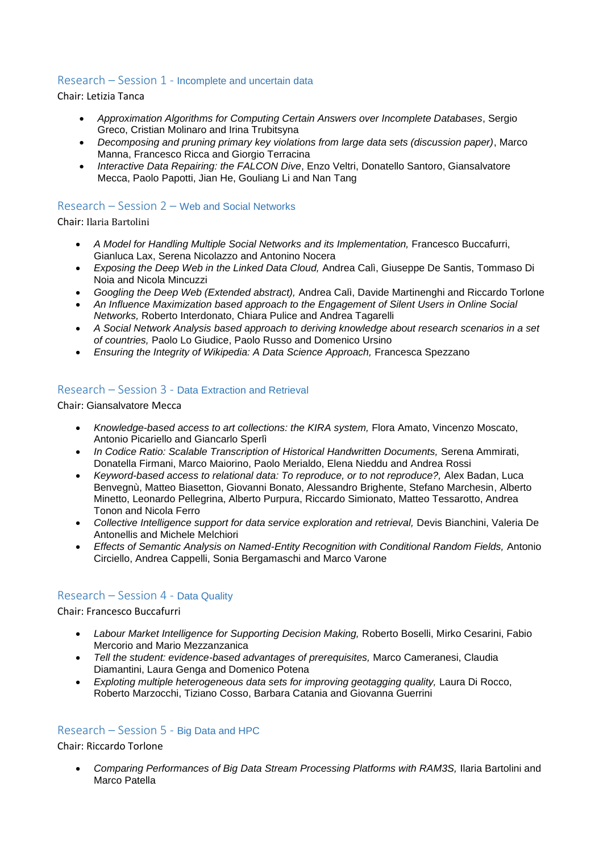#### Research – Session 1 - Incomplete and uncertain data

Chair: Letizia Tanca

- *Approximation Algorithms for Computing Certain Answers over Incomplete Databases*, Sergio Greco, Cristian Molinaro and Irina Trubitsyna
- *Decomposing and pruning primary key violations from large data sets (discussion paper)*, Marco Manna, Francesco Ricca and Giorgio Terracina
- *Interactive Data Repairing: the FALCON Dive*, Enzo Veltri, Donatello Santoro, Giansalvatore Mecca, Paolo Papotti, Jian He, Gouliang Li and Nan Tang

## Research – Session 2 – Web and Social Networks

Chair: Ilaria Bartolini

- *A Model for Handling Multiple Social Networks and its Implementation,* Francesco Buccafurri, Gianluca Lax, Serena Nicolazzo and Antonino Nocera
- *Exposing the Deep Web in the Linked Data Cloud,* Andrea Calì, Giuseppe De Santis, Tommaso Di Noia and Nicola Mincuzzi
- *Googling the Deep Web (Extended abstract),* Andrea Calì, Davide Martinenghi and Riccardo Torlone
- *An Influence Maximization based approach to the Engagement of Silent Users in Online Social Networks,* Roberto Interdonato, Chiara Pulice and Andrea Tagarelli
- *A Social Network Analysis based approach to deriving knowledge about research scenarios in a set of countries,* Paolo Lo Giudice, Paolo Russo and Domenico Ursino
- *Ensuring the Integrity of Wikipedia: A Data Science Approach,* Francesca Spezzano

#### Research – Session 3 - Data Extraction and Retrieval

Chair: Giansalvatore Mecca

- *Knowledge-based access to art collections: the KIRA system,* Flora Amato, Vincenzo Moscato, Antonio Picariello and Giancarlo Sperlì
- In Codice Ratio: Scalable Transcription of Historical Handwritten Documents, Serena Ammirati, Donatella Firmani, Marco Maiorino, Paolo Merialdo, Elena Nieddu and Andrea Rossi
- *Keyword-based access to relational data: To reproduce, or to not reproduce?,* Alex Badan, Luca Benvegnù, Matteo Biasetton, Giovanni Bonato, Alessandro Brighente, Stefano Marchesin, Alberto Minetto, Leonardo Pellegrina, Alberto Purpura, Riccardo Simionato, Matteo Tessarotto, Andrea Tonon and Nicola Ferro
- *Collective Intelligence support for data service exploration and retrieval, Devis Bianchini, Valeria De* Antonellis and Michele Melchiori
- **•** Effects of Semantic Analysis on Named-Entity Recognition with Conditional Random Fields, Antonio Circiello, Andrea Cappelli, Sonia Bergamaschi and Marco Varone

## Research – Session 4 - Data Quality

Chair: Francesco Buccafurri

- *Labour Market Intelligence for Supporting Decision Making,* Roberto Boselli, Mirko Cesarini, Fabio Mercorio and Mario Mezzanzanica
- *Tell the student: evidence-based advantages of prerequisites,* Marco Cameranesi, Claudia Diamantini, Laura Genga and Domenico Potena
- Exploting multiple heterogeneous data sets for improving geotagging quality, Laura Di Rocco, Roberto Marzocchi, Tiziano Cosso, Barbara Catania and Giovanna Guerrini

#### Research – Session 5 - Big Data and HPC

Chair: Riccardo Torlone

Comparing Performances of Big Data Stream Processing Platforms with RAM3S, Ilaria Bartolini and Marco Patella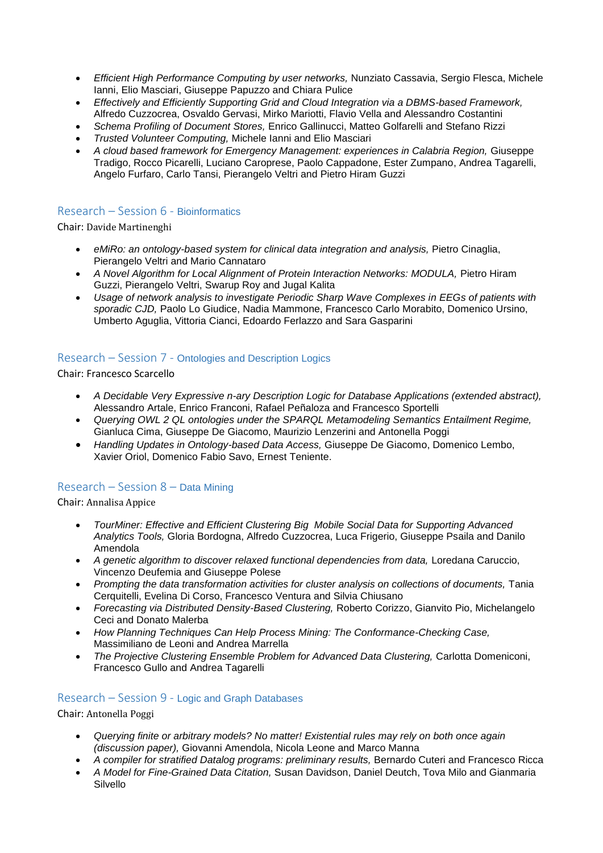- *Efficient High Performance Computing by user networks,* Nunziato Cassavia, Sergio Flesca, Michele Ianni, Elio Masciari, Giuseppe Papuzzo and Chiara Pulice
- *Effectively and Efficiently Supporting Grid and Cloud Integration via a DBMS-based Framework,*  Alfredo Cuzzocrea, Osvaldo Gervasi, Mirko Mariotti, Flavio Vella and Alessandro Costantini
- *Schema Profiling of Document Stores,* Enrico Gallinucci, Matteo Golfarelli and Stefano Rizzi
- *Trusted Volunteer Computing,* Michele Ianni and Elio Masciari
- *A cloud based framework for Emergency Management: experiences in Calabria Region,* Giuseppe Tradigo, Rocco Picarelli, Luciano Caroprese, Paolo Cappadone, Ester Zumpano, Andrea Tagarelli, Angelo Furfaro, Carlo Tansi, Pierangelo Veltri and Pietro Hiram Guzzi

## Research – Session 6 - Bioinformatics

Chair: Davide Martinenghi

- eMiRo: an ontology-based system for clinical data integration and analysis, Pietro Cinaglia, Pierangelo Veltri and Mario Cannataro
- **•** A Novel Algorithm for Local Alignment of Protein Interaction Networks: MODULA, Pietro Hiram Guzzi, Pierangelo Veltri, Swarup Roy and Jugal Kalita
- *Usage of network analysis to investigate Periodic Sharp Wave Complexes in EEGs of patients with sporadic CJD,* Paolo Lo Giudice, Nadia Mammone, Francesco Carlo Morabito, Domenico Ursino, Umberto Aguglia, Vittoria Cianci, Edoardo Ferlazzo and Sara Gasparini

## Research – Session 7 - Ontologies and Description Logics

Chair: Francesco Scarcello

- *A Decidable Very Expressive n-ary Description Logic for Database Applications (extended abstract),*  Alessandro Artale, Enrico Franconi, Rafael Peñaloza and Francesco Sportelli
- *Querying OWL 2 QL ontologies under the SPARQL Metamodeling Semantics Entailment Regime,*  Gianluca Cima, Giuseppe De Giacomo, Maurizio Lenzerini and Antonella Poggi
- *Handling Updates in Ontology-based Data Access,* Giuseppe De Giacomo, Domenico Lembo, Xavier Oriol, Domenico Fabio Savo, Ernest Teniente.

# Research – Session 8 – Data Mining

Chair: Annalisa Appice

- *TourMiner: Effective and Efficient Clustering Big Mobile Social Data for Supporting Advanced Analytics Tools,* Gloria Bordogna, Alfredo Cuzzocrea, Luca Frigerio, Giuseppe Psaila and Danilo Amendola
- A genetic algorithm to discover relaxed functional dependencies from data, Loredana Caruccio, Vincenzo Deufemia and Giuseppe Polese
- Prompting the data transformation activities for cluster analysis on collections of documents, Tania Cerquitelli, Evelina Di Corso, Francesco Ventura and Silvia Chiusano
- *Forecasting via Distributed Density-Based Clustering,* Roberto Corizzo, Gianvito Pio, Michelangelo Ceci and Donato Malerba
- *How Planning Techniques Can Help Process Mining: The Conformance-Checking Case,*  Massimiliano de Leoni and Andrea Marrella
- *The Projective Clustering Ensemble Problem for Advanced Data Clustering,* Carlotta Domeniconi, Francesco Gullo and Andrea Tagarelli

## Research – Session 9 - Logic and Graph Databases

Chair: Antonella Poggi

- *Querying finite or arbitrary models? No matter! Existential rules may rely on both once again (discussion paper),* Giovanni Amendola, Nicola Leone and Marco Manna
- *A compiler for stratified Datalog programs: preliminary results,* Bernardo Cuteri and Francesco Ricca
- *A Model for Fine-Grained Data Citation,* Susan Davidson, Daniel Deutch, Tova Milo and Gianmaria Silvello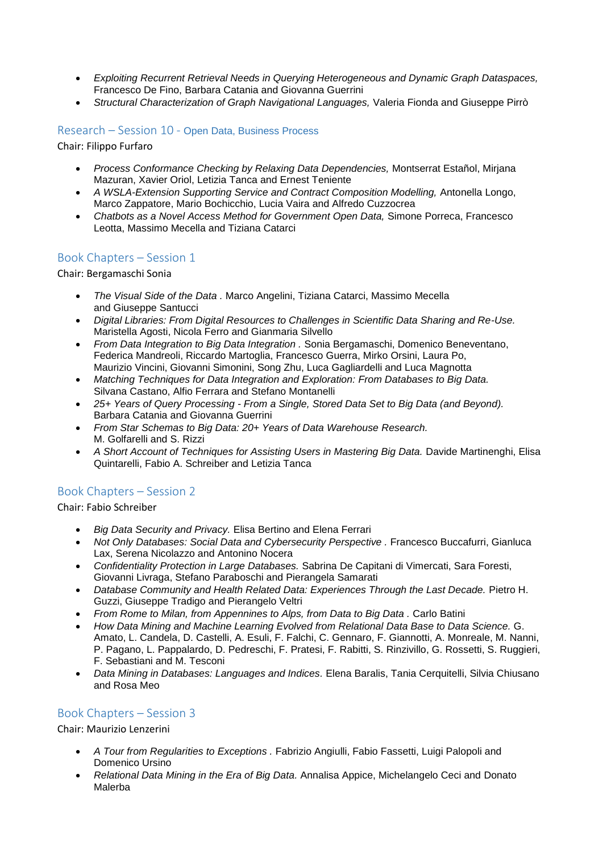- *Exploiting Recurrent Retrieval Needs in Querying Heterogeneous and Dynamic Graph Dataspaces,*  Francesco De Fino, Barbara Catania and Giovanna Guerrini
- *Structural Characterization of Graph Navigational Languages,* Valeria Fionda and Giuseppe Pirrò

## Research – Session 10 - Open Data, Business Process

Chair: Filippo Furfaro

- *Process Conformance Checking by Relaxing Data Dependencies,* Montserrat Estañol, Mirjana Mazuran, Xavier Oriol, Letizia Tanca and Ernest Teniente
- **A WSLA-Extension Supporting Service and Contract Composition Modelling, Antonella Longo,** Marco Zappatore, Mario Bochicchio, Lucia Vaira and Alfredo Cuzzocrea
- *Chatbots as a Novel Access Method for Government Open Data,* Simone Porreca, Francesco Leotta, Massimo Mecella and Tiziana Catarci

## Book Chapters – Session 1

Chair: Bergamaschi Sonia

- *The Visual Side of the Data .* Marco Angelini, Tiziana Catarci, Massimo Mecella and Giuseppe Santucci
- *Digital Libraries: From Digital Resources to Challenges in Scientific Data Sharing and Re-Use.*  Maristella Agosti, Nicola Ferro and Gianmaria Silvello
- *From Data Integration to Big Data Integration .* Sonia Bergamaschi, Domenico Beneventano, Federica Mandreoli, Riccardo Martoglia, Francesco Guerra, Mirko Orsini, Laura Po, Maurizio Vincini, Giovanni Simonini, Song Zhu, Luca Gagliardelli and Luca Magnotta
- *Matching Techniques for Data Integration and Exploration: From Databases to Big Data.* Silvana Castano, Alfio Ferrara and Stefano Montanelli
- *25+ Years of Query Processing - From a Single, Stored Data Set to Big Data (and Beyond).* Barbara Catania and Giovanna Guerrini
- *From Star Schemas to Big Data: 20+ Years of Data Warehouse Research.*  M. Golfarelli and S. Rizzi
- *A Short Account of Techniques for Assisting Users in Mastering Big Data.* Davide Martinenghi, Elisa Quintarelli, Fabio A. Schreiber and Letizia Tanca

# Book Chapters – Session 2

Chair: Fabio Schreiber

- *Big Data Security and Privacy.* Elisa Bertino and Elena Ferrari
- *Not Only Databases: Social Data and Cybersecurity Perspective . Francesco Buccafurri, Gianluca* Lax, Serena Nicolazzo and Antonino Nocera
- *Confidentiality Protection in Large Databases.* Sabrina De Capitani di Vimercati, Sara Foresti, Giovanni Livraga, Stefano Paraboschi and Pierangela Samarati
- *Database Community and Health Related Data: Experiences Through the Last Decade. Pietro H.* Guzzi, Giuseppe Tradigo and Pierangelo Veltri
- *From Rome to Milan, from Appennines to Alps, from Data to Big Data . Carlo Batini*
- *How Data Mining and Machine Learning Evolved from Relational Data Base to Data Science.* G. Amato, L. Candela, D. Castelli, A. Esuli, F. Falchi, C. Gennaro, F. Giannotti, A. Monreale, M. Nanni, P. Pagano, L. Pappalardo, D. Pedreschi, F. Pratesi, F. Rabitti, S. Rinzivillo, G. Rossetti, S. Ruggieri, F. Sebastiani and M. Tesconi
- *Data Mining in Databases: Languages and Indices.* Elena Baralis, Tania Cerquitelli, Silvia Chiusano and Rosa Meo

## Book Chapters – Session 3

Chair: Maurizio Lenzerini

- A Tour from Regularities to Exceptions . Fabrizio Angiulli, Fabio Fassetti, Luigi Palopoli and Domenico Ursino
- *Relational Data Mining in the Era of Big Data.* Annalisa Appice, Michelangelo Ceci and Donato Malerba